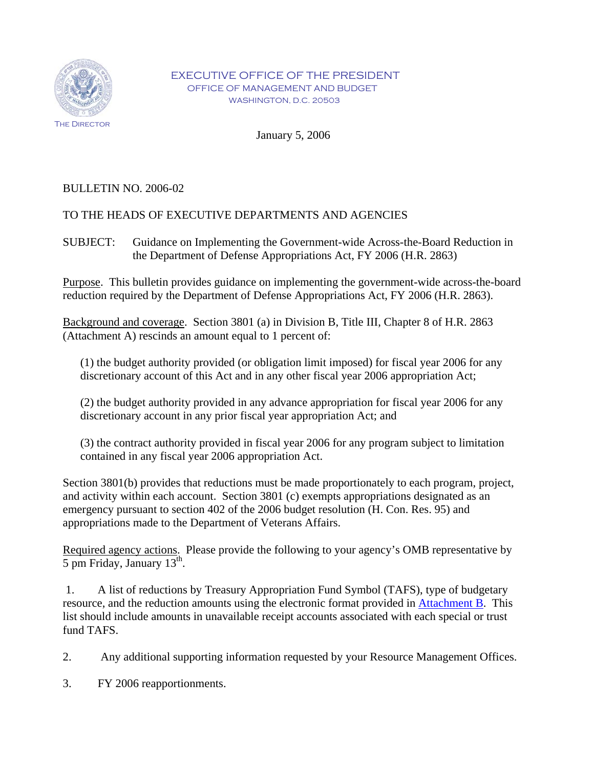

January 5, 2006

# BULLETIN NO. 2006-02

# TO THE HEADS OF EXECUTIVE DEPARTMENTS AND AGENCIES

SUBJECT: Guidance on Implementing the Government-wide Across-the-Board Reduction in the Department of Defense Appropriations Act, FY 2006 (H.R. 2863)

Purpose. This bulletin provides guidance on implementing the government-wide across-the-board reduction required by the Department of Defense Appropriations Act, FY 2006 (H.R. 2863).

Background and coverage. Section 3801 (a) in Division B, Title III, Chapter 8 of H.R. 2863 (Attachment A) rescinds an amount equal to 1 percent of:

(1) the budget authority provided (or obligation limit imposed) for fiscal year 2006 for any discretionary account of this Act and in any other fiscal year 2006 appropriation Act;

(2) the budget authority provided in any advance appropriation for fiscal year 2006 for any discretionary account in any prior fiscal year appropriation Act; and

(3) the contract authority provided in fiscal year 2006 for any program subject to limitation contained in any fiscal year 2006 appropriation Act.

Section 3801(b) provides that reductions must be made proportionately to each program, project, and activity within each account. Section 3801 (c) exempts appropriations designated as an emergency pursuant to section 402 of the 2006 budget resolution (H. Con. Res. 95) and appropriations made to the Department of Veterans Affairs.

Required agency actions. Please provide the following to your agency's OMB representative by 5 pm Friday, January  $13<sup>th</sup>$ .

1. A list of reductions by Treasury Appropriation Fund Symbol (TAFS), type of budgetary resource, and the reduction amounts using the electronic format provided in [Attachment B](http://www.whitehouse.gov/omb/bulletins/fy2006/06-02b.xls). This list should include amounts in unavailable receipt accounts associated with each special or trust fund TAFS.

2. Any additional supporting information requested by your Resource Management Offices.

3. FY 2006 reapportionments.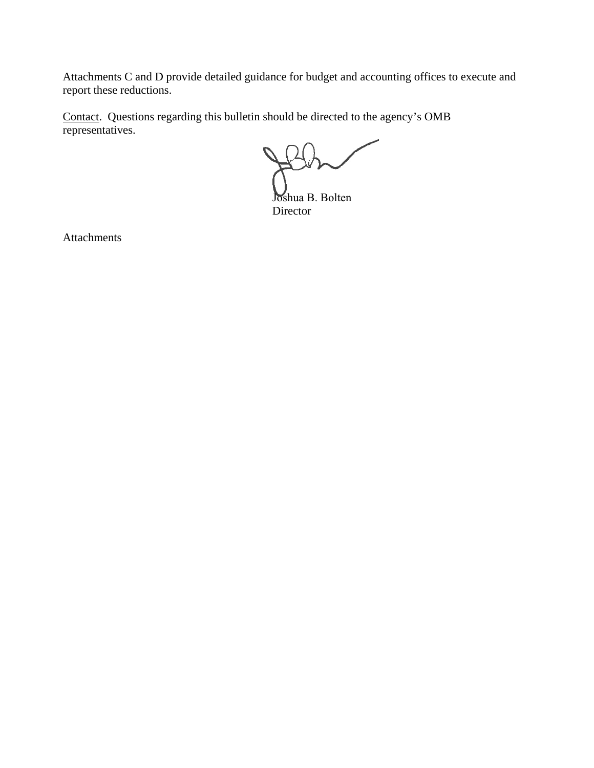Attachments C and D provide detailed guidance for budget and accounting offices to execute and report these reductions.

Contact. Questions regarding this bulletin should be directed to the agency's OMB representatives.

Joshua B. Bolten Director

Attachments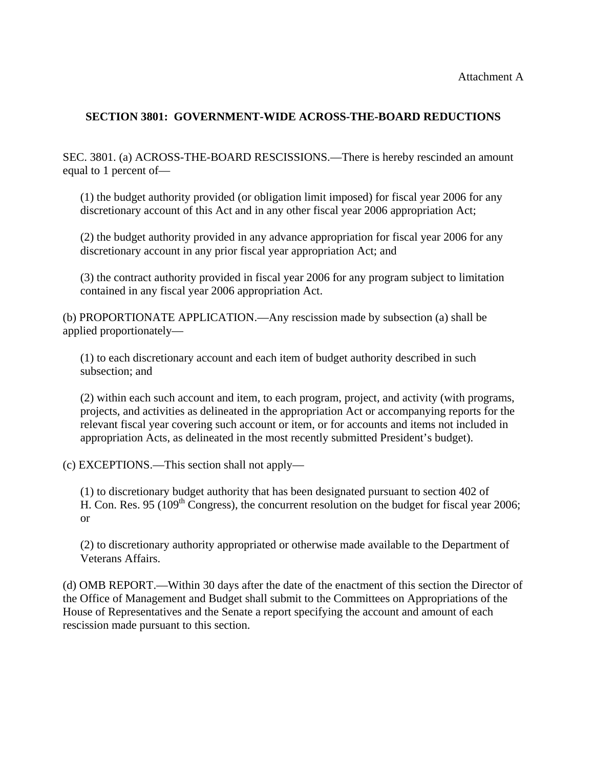# **SECTION 3801: GOVERNMENT-WIDE ACROSS-THE-BOARD REDUCTIONS**

SEC. 3801. (a) ACROSS-THE-BOARD RESCISSIONS.—There is hereby rescinded an amount equal to 1 percent of—

(1) the budget authority provided (or obligation limit imposed) for fiscal year 2006 for any discretionary account of this Act and in any other fiscal year 2006 appropriation Act;

(2) the budget authority provided in any advance appropriation for fiscal year 2006 for any discretionary account in any prior fiscal year appropriation Act; and

(3) the contract authority provided in fiscal year 2006 for any program subject to limitation contained in any fiscal year 2006 appropriation Act.

(b) PROPORTIONATE APPLICATION.—Any rescission made by subsection (a) shall be applied proportionately—

(1) to each discretionary account and each item of budget authority described in such subsection; and

(2) within each such account and item, to each program, project, and activity (with programs, projects, and activities as delineated in the appropriation Act or accompanying reports for the relevant fiscal year covering such account or item, or for accounts and items not included in appropriation Acts, as delineated in the most recently submitted President's budget).

(c) EXCEPTIONS.—This section shall not apply—

(1) to discretionary budget authority that has been designated pursuant to section 402 of H. Con. Res. 95 (109<sup>th</sup> Congress), the concurrent resolution on the budget for fiscal year 2006; or

(2) to discretionary authority appropriated or otherwise made available to the Department of Veterans Affairs.

(d) OMB REPORT.—Within 30 days after the date of the enactment of this section the Director of the Office of Management and Budget shall submit to the Committees on Appropriations of the House of Representatives and the Senate a report specifying the account and amount of each rescission made pursuant to this section.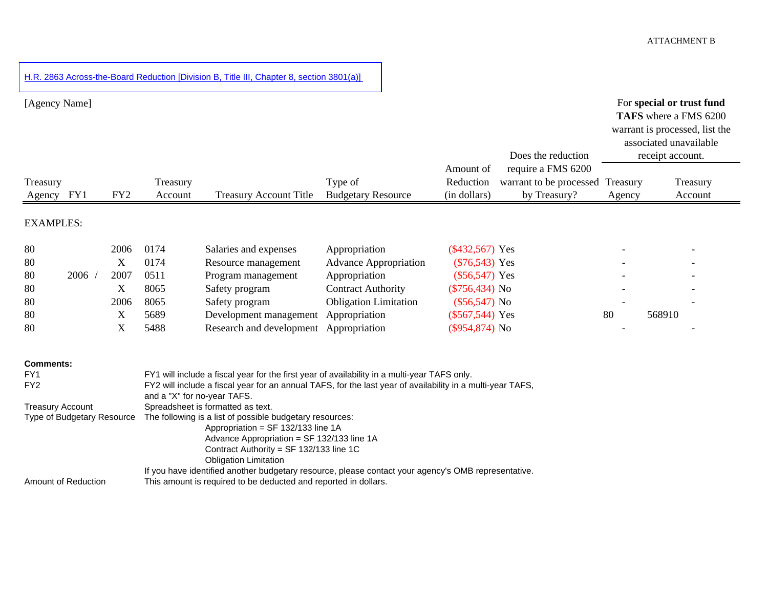[H.R. 2863 Across-the-Board Reduction \[Division B, Title III, Chapter 8, section 3801\(a\)\]](http://www.whitehouse.gov/omb/bulletins/fy2006/06-02b.xls) 

| [Agency Name]                              |                            |                 |                             |                                                                                                                                                                                                            |                              | Amount of         | Does the reduction<br>require a FMS 6200 |          | For special or trust fund<br>TAFS where a FMS 6200<br>warrant is processed, list the<br>associated unavailable<br>receipt account. |
|--------------------------------------------|----------------------------|-----------------|-----------------------------|------------------------------------------------------------------------------------------------------------------------------------------------------------------------------------------------------------|------------------------------|-------------------|------------------------------------------|----------|------------------------------------------------------------------------------------------------------------------------------------|
| Treasury                                   |                            |                 | Treasury                    |                                                                                                                                                                                                            | Type of                      | Reduction         | warrant to be processed                  | Treasury | Treasury                                                                                                                           |
| Agency FY1                                 |                            | FY <sub>2</sub> | Account                     | <b>Treasury Account Title</b>                                                                                                                                                                              | <b>Budgetary Resource</b>    | (in dollars)      | by Treasury?                             | Agency   | Account                                                                                                                            |
| <b>EXAMPLES:</b>                           |                            |                 |                             |                                                                                                                                                                                                            |                              |                   |                                          |          |                                                                                                                                    |
| 80                                         |                            | 2006            | 0174                        | Salaries and expenses                                                                                                                                                                                      | Appropriation                | $(\$432,567)$ Yes |                                          |          |                                                                                                                                    |
| 80                                         |                            | X               | 0174                        | Resource management                                                                                                                                                                                        | <b>Advance Appropriation</b> | $(\$76,543)$ Yes  |                                          |          |                                                                                                                                    |
| 80                                         | 2006                       | 2007            | 0511                        | Program management                                                                                                                                                                                         | Appropriation                | $(\$56,547)$ Yes  |                                          |          |                                                                                                                                    |
| 80                                         |                            | X               | 8065                        | Safety program                                                                                                                                                                                             | <b>Contract Authority</b>    | $(\$756,434)$ No  |                                          |          |                                                                                                                                    |
| 80                                         |                            | 2006            | 8065                        | Safety program                                                                                                                                                                                             | <b>Obligation Limitation</b> | $(\$56,547)$ No   |                                          |          |                                                                                                                                    |
| 80                                         |                            | X               | 5689                        | Development management                                                                                                                                                                                     | Appropriation                | $(\$567,544)$ Yes |                                          | 80       | 568910                                                                                                                             |
| 80                                         |                            | X               | 5488                        | Research and development                                                                                                                                                                                   | Appropriation                | $(\$954,874)$ No  |                                          |          |                                                                                                                                    |
| <b>Comments:</b><br>FY1<br>FY <sub>2</sub> |                            |                 | and a "X" for no-year TAFS. | FY1 will include a fiscal year for the first year of availability in a multi-year TAFS only.<br>FY2 will include a fiscal year for an annual TAFS, for the last year of availability in a multi-year TAFS, |                              |                   |                                          |          |                                                                                                                                    |
| <b>Treasury Account</b>                    |                            |                 |                             | Spreadsheet is formatted as text.                                                                                                                                                                          |                              |                   |                                          |          |                                                                                                                                    |
|                                            | Type of Budgetary Resource |                 |                             | The following is a list of possible budgetary resources:<br>Appropriation = SF 132/133 line 1A<br>Advance Appropriation = SF 132/133 line 1A                                                               |                              |                   |                                          |          |                                                                                                                                    |

Contract Authority = SF 132/133 line 1C Obligation Limitation If you have identified another budgetary resource, please contact your agency's OMB representative.

Amount of Reduction This amount is required to be deducted and reported in dollars.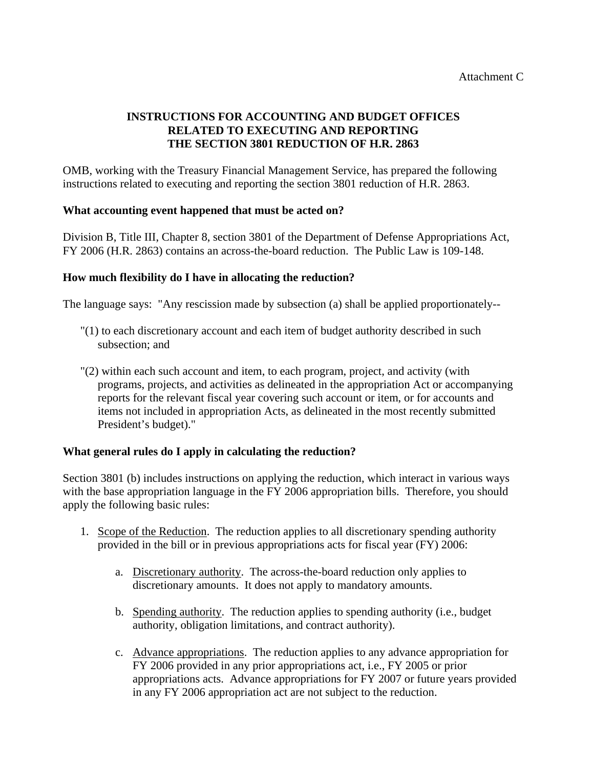# **INSTRUCTIONS FOR ACCOUNTING AND BUDGET OFFICES RELATED TO EXECUTING AND REPORTING THE SECTION 3801 REDUCTION OF H.R. 2863**

OMB, working with the Treasury Financial Management Service, has prepared the following instructions related to executing and reporting the section 3801 reduction of H.R. 2863.

### **What accounting event happened that must be acted on?**

Division B, Title III, Chapter 8, section 3801 of the Department of Defense Appropriations Act, FY 2006 (H.R. 2863) contains an across-the-board reduction. The Public Law is 109-148.

### **How much flexibility do I have in allocating the reduction?**

The language says: "Any rescission made by subsection (a) shall be applied proportionately--

- "(1) to each discretionary account and each item of budget authority described in such subsection; and
- "(2) within each such account and item, to each program, project, and activity (with programs, projects, and activities as delineated in the appropriation Act or accompanying reports for the relevant fiscal year covering such account or item, or for accounts and items not included in appropriation Acts, as delineated in the most recently submitted President's budget)."

### **What general rules do I apply in calculating the reduction?**

Section 3801 (b) includes instructions on applying the reduction, which interact in various ways with the base appropriation language in the FY 2006 appropriation bills. Therefore, you should apply the following basic rules:

- 1. Scope of the Reduction. The reduction applies to all discretionary spending authority provided in the bill or in previous appropriations acts for fiscal year (FY) 2006:
	- a. Discretionary authority. The across-the-board reduction only applies to discretionary amounts. It does not apply to mandatory amounts.
	- b. Spending authority. The reduction applies to spending authority (i.e., budget authority, obligation limitations, and contract authority).
	- c. Advance appropriations. The reduction applies to any advance appropriation for FY 2006 provided in any prior appropriations act, i.e., FY 2005 or prior appropriations acts. Advance appropriations for FY 2007 or future years provided in any FY 2006 appropriation act are not subject to the reduction.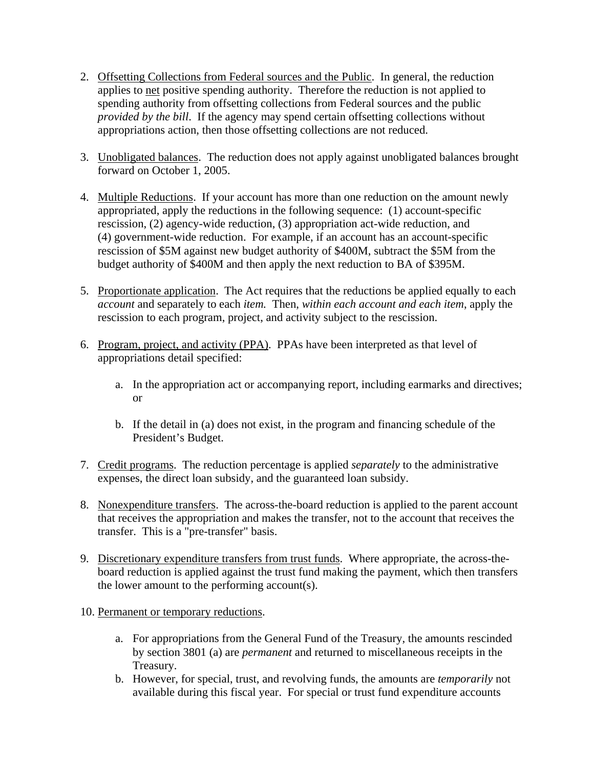- 2. Offsetting Collections from Federal sources and the Public. In general, the reduction applies to net positive spending authority. Therefore the reduction is not applied to spending authority from offsetting collections from Federal sources and the public *provided by the bill*. If the agency may spend certain offsetting collections without appropriations action, then those offsetting collections are not reduced.
- 3. Unobligated balances. The reduction does not apply against unobligated balances brought forward on October 1, 2005.
- 4. Multiple Reductions. If your account has more than one reduction on the amount newly appropriated, apply the reductions in the following sequence: (1) account-specific rescission, (2) agency-wide reduction, (3) appropriation act-wide reduction, and (4) government-wide reduction. For example, if an account has an account-specific rescission of \$5M against new budget authority of \$400M, subtract the \$5M from the budget authority of \$400M and then apply the next reduction to BA of \$395M.
- 5. Proportionate application. The Act requires that the reductions be applied equally to each *account* and separately to each *item.* Then, *within each account and each item*, apply the rescission to each program, project, and activity subject to the rescission.
- 6. Program, project, and activity (PPA). PPAs have been interpreted as that level of appropriations detail specified:
	- a. In the appropriation act or accompanying report, including earmarks and directives; or
	- b. If the detail in (a) does not exist, in the program and financing schedule of the President's Budget.
- 7. Credit programs. The reduction percentage is applied *separately* to the administrative expenses, the direct loan subsidy, and the guaranteed loan subsidy.
- 8. Nonexpenditure transfers. The across-the-board reduction is applied to the parent account that receives the appropriation and makes the transfer, not to the account that receives the transfer. This is a "pre-transfer" basis.
- 9. Discretionary expenditure transfers from trust funds. Where appropriate, the across-theboard reduction is applied against the trust fund making the payment, which then transfers the lower amount to the performing account(s).
- 10. Permanent or temporary reductions.
	- a. For appropriations from the General Fund of the Treasury, the amounts rescinded by section 3801 (a) are *permanent* and returned to miscellaneous receipts in the Treasury.
	- b. However, for special, trust, and revolving funds, the amounts are *temporarily* not available during this fiscal year. For special or trust fund expenditure accounts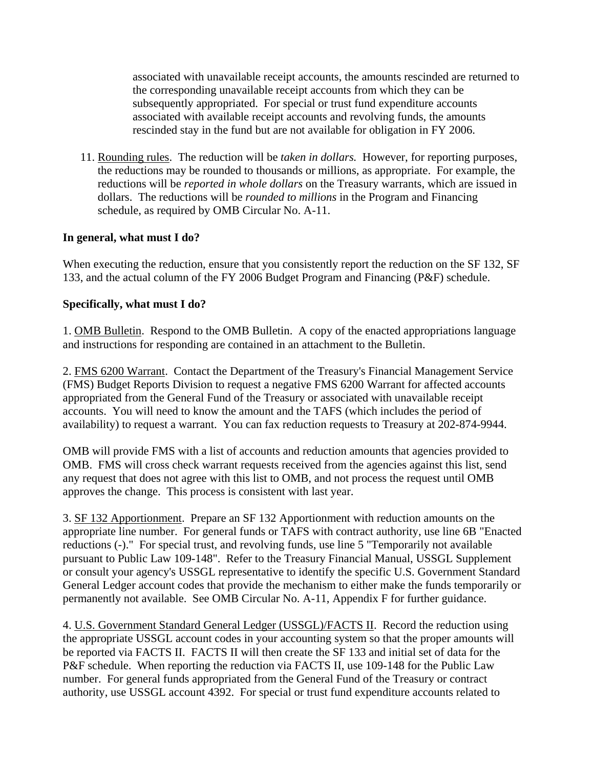associated with unavailable receipt accounts, the amounts rescinded are returned to the corresponding unavailable receipt accounts from which they can be subsequently appropriated. For special or trust fund expenditure accounts associated with available receipt accounts and revolving funds, the amounts rescinded stay in the fund but are not available for obligation in FY 2006.

11. Rounding rules. The reduction will be *taken in dollars.* However, for reporting purposes, the reductions may be rounded to thousands or millions, as appropriate. For example, the reductions will be *reported in whole dollars* on the Treasury warrants, which are issued in dollars. The reductions will be *rounded to millions* in the Program and Financing schedule, as required by OMB Circular No. A-11.

# **In general, what must I do?**

When executing the reduction, ensure that you consistently report the reduction on the SF 132, SF 133, and the actual column of the FY 2006 Budget Program and Financing (P&F) schedule.

### **Specifically, what must I do?**

1. OMB Bulletin. Respond to the OMB Bulletin. A copy of the enacted appropriations language and instructions for responding are contained in an attachment to the Bulletin.

2. FMS 6200 Warrant. Contact the Department of the Treasury's Financial Management Service (FMS) Budget Reports Division to request a negative FMS 6200 Warrant for affected accounts appropriated from the General Fund of the Treasury or associated with unavailable receipt accounts. You will need to know the amount and the TAFS (which includes the period of availability) to request a warrant. You can fax reduction requests to Treasury at 202-874-9944.

OMB will provide FMS with a list of accounts and reduction amounts that agencies provided to OMB. FMS will cross check warrant requests received from the agencies against this list, send any request that does not agree with this list to OMB, and not process the request until OMB approves the change. This process is consistent with last year.

3. SF 132 Apportionment. Prepare an SF 132 Apportionment with reduction amounts on the appropriate line number. For general funds or TAFS with contract authority, use line 6B "Enacted reductions (-)." For special trust, and revolving funds, use line 5 "Temporarily not available pursuant to Public Law 109-148". Refer to the Treasury Financial Manual, USSGL Supplement or consult your agency's USSGL representative to identify the specific U.S. Government Standard General Ledger account codes that provide the mechanism to either make the funds temporarily or permanently not available. See OMB Circular No. A-11, Appendix F for further guidance.

4. U.S. Government Standard General Ledger (USSGL)/FACTS II. Record the reduction using the appropriate USSGL account codes in your accounting system so that the proper amounts will be reported via FACTS II. FACTS II will then create the SF 133 and initial set of data for the P&F schedule. When reporting the reduction via FACTS II, use 109-148 for the Public Law number. For general funds appropriated from the General Fund of the Treasury or contract authority, use USSGL account 4392. For special or trust fund expenditure accounts related to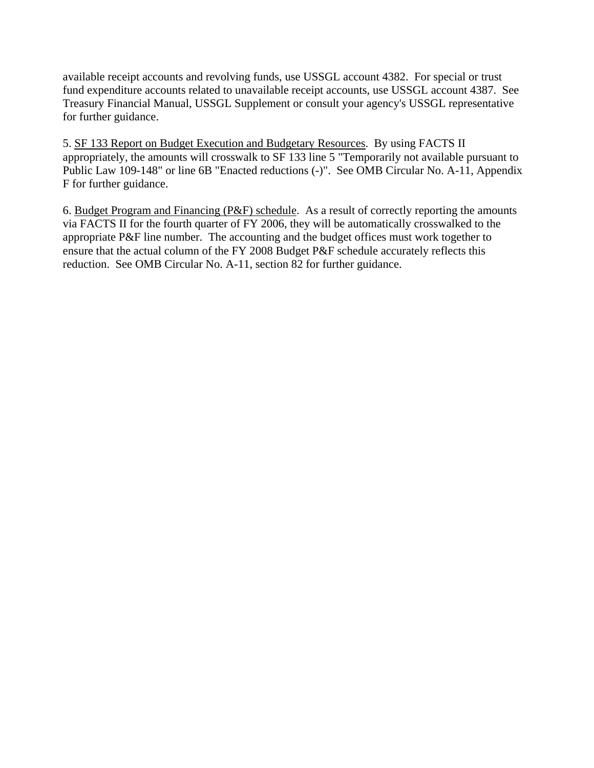available receipt accounts and revolving funds, use USSGL account 4382. For special or trust fund expenditure accounts related to unavailable receipt accounts, use USSGL account 4387. See Treasury Financial Manual, USSGL Supplement or consult your agency's USSGL representative for further guidance.

5. SF 133 Report on Budget Execution and Budgetary Resources. By using FACTS II appropriately, the amounts will crosswalk to SF 133 line 5 "Temporarily not available pursuant to Public Law 109-148" or line 6B "Enacted reductions (-)". See OMB Circular No. A-11, Appendix F for further guidance.

6. Budget Program and Financing (P&F) schedule. As a result of correctly reporting the amounts via FACTS II for the fourth quarter of FY 2006, they will be automatically crosswalked to the appropriate P&F line number. The accounting and the budget offices must work together to ensure that the actual column of the FY 2008 Budget P&F schedule accurately reflects this reduction. See OMB Circular No. A-11, section 82 for further guidance.